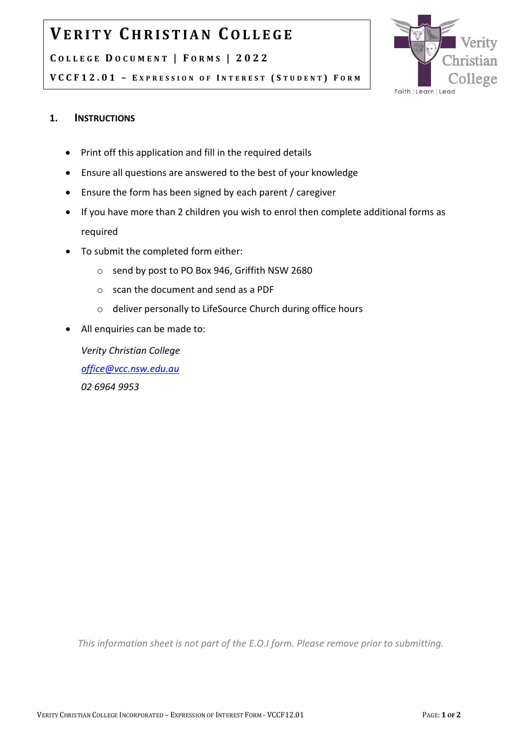## **VE R I T Y C H R I S T I A N CO L L E G E**

#### **C O L L E G E D O C U M E N T | F O R M S | 202 2**



**V C C F 1 2 . 0 1 – E X P R E S S I O N O F I N T E R E S T ( S T U D E N T ) F O R M**

### **1. INSTRUCTIONS**

- Print off this application and fill in the required details
- Ensure all questions are answered to the best of your knowledge
- Ensure the form has been signed by each parent / caregiver
- If you have more than 2 children you wish to enrol then complete additional forms as required
- To submit the completed form either:
	- o send by post to PO Box 946, Griffith NSW 2680
	- o scan the document and send as a PDF
	- o deliver personally to LifeSource Church during office hours
- All enquiries can be made to:

*Verity Christian College [office@vcc.nsw.edu.au](mailto:office@vcc.nsw.edu.au) 02 6964 9953*

*This information sheet is not part of the E.O.I form. Please remove prior to submitting.*